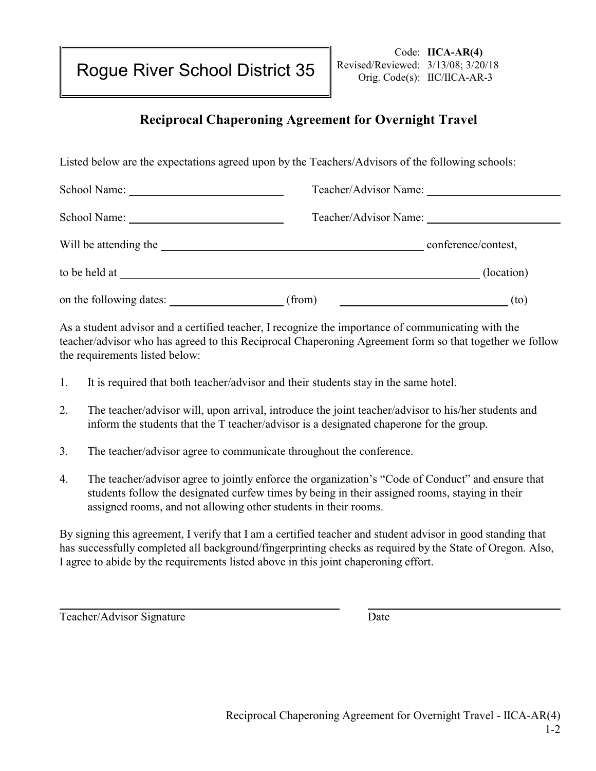Rogue River School District 35

## **Reciprocal Chaperoning Agreement for Overnight Travel**

Listed below are the expectations agreed upon by the Teachers/Advisors of the following schools:

| School Name:            |                                                                                                                       | Teacher/Advisor Name: |
|-------------------------|-----------------------------------------------------------------------------------------------------------------------|-----------------------|
| School Name:            | Teacher/Advisor Name:                                                                                                 |                       |
| Will be attending the   | <u> 1989 - Johann Harry Harry Harry Harry Harry Harry Harry Harry Harry Harry Harry Harry Harry Harry Harry Harry</u> | conference/contest,   |
| to be held at           |                                                                                                                       | (location)            |
| on the following dates: | (from)                                                                                                                | (to)                  |

As a student advisor and a certified teacher, I recognize the importance of communicating with the teacher/advisor who has agreed to this Reciprocal Chaperoning Agreement form so that together we follow the requirements listed below:

- 1. It is required that both teacher/advisor and their students stay in the same hotel.
- 2. The teacher/advisor will, upon arrival, introduce the joint teacher/advisor to his/her students and inform the students that the T teacher/advisor is a designated chaperone for the group.
- 3. The teacher/advisor agree to communicate throughout the conference.
- 4. The teacher/advisor agree to jointly enforce the organization's "Code of Conduct" and ensure that students follow the designated curfew times by being in their assigned rooms, staying in their assigned rooms, and not allowing other students in their rooms.

By signing this agreement, I verify that I am a certified teacher and student advisor in good standing that has successfully completed all background/fingerprinting checks as required by the State of Oregon. Also, I agree to abide by the requirements listed above in this joint chaperoning effort.

Teacher/Advisor Signature Date